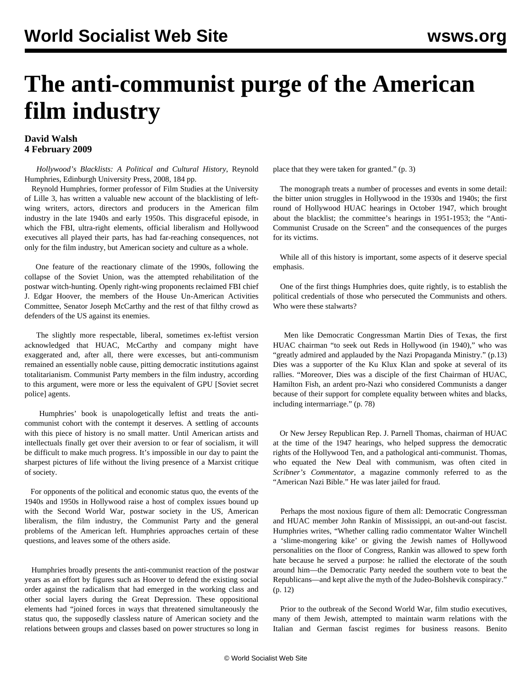## **The anti-communist purge of the American film industry**

## **David Walsh 4 February 2009**

 *Hollywood's Blacklists: A Political and Cultural History*, Reynold Humphries, Edinburgh University Press, 2008, 184 pp.

 Reynold Humphries, former professor of Film Studies at the University of Lille 3, has written a valuable new account of the blacklisting of leftwing writers, actors, directors and producers in the American film industry in the late 1940s and early 1950s. This disgraceful episode, in which the FBI, ultra-right elements, official liberalism and Hollywood executives all played their parts, has had far-reaching consequences, not only for the film industry, but American society and culture as a whole.

 One feature of the reactionary climate of the 1990s, following the collapse of the Soviet Union, was the attempted rehabilitation of the postwar witch-hunting. Openly right-wing proponents reclaimed FBI chief J. Edgar Hoover, the members of the House Un-American Activities Committee, Senator Joseph McCarthy and the rest of that filthy crowd as defenders of the US against its enemies.

 The slightly more respectable, liberal, sometimes ex-leftist version acknowledged that HUAC, McCarthy and company might have exaggerated and, after all, there were excesses, but anti-communism remained an essentially noble cause, pitting democratic institutions against totalitarianism. Communist Party members in the film industry, according to this argument, were more or less the equivalent of GPU [Soviet secret police] agents.

 Humphries' book is unapologetically leftist and treats the anticommunist cohort with the contempt it deserves. A settling of accounts with this piece of history is no small matter. Until American artists and intellectuals finally get over their aversion to or fear of socialism, it will be difficult to make much progress. It's impossible in our day to paint the sharpest pictures of life without the living presence of a Marxist critique of society.

 For opponents of the political and economic status quo, the events of the 1940s and 1950s in Hollywood raise a host of complex issues bound up with the Second World War, postwar society in the US, American liberalism, the film industry, the Communist Party and the general problems of the American left. Humphries approaches certain of these questions, and leaves some of the others aside.

 Humphries broadly presents the anti-communist reaction of the postwar years as an effort by figures such as Hoover to defend the existing social order against the radicalism that had emerged in the working class and other social layers during the Great Depression. These oppositional elements had "joined forces in ways that threatened simultaneously the status quo, the supposedly classless nature of American society and the relations between groups and classes based on power structures so long in place that they were taken for granted." (p. 3)

 The monograph treats a number of processes and events in some detail: the bitter union struggles in Hollywood in the 1930s and 1940s; the first round of Hollywood HUAC hearings in October 1947, which brought about the blacklist; the committee's hearings in 1951-1953; the "Anti-Communist Crusade on the Screen" and the consequences of the purges for its victims.

 While all of this history is important, some aspects of it deserve special emphasis.

 One of the first things Humphries does, quite rightly, is to establish the political credentials of those who persecuted the Communists and others. Who were these stalwarts?

 Men like Democratic Congressman Martin Dies of Texas, the first HUAC chairman "to seek out Reds in Hollywood (in 1940)," who was "greatly admired and applauded by the Nazi Propaganda Ministry." (p.13) Dies was a supporter of the Ku Klux Klan and spoke at several of its rallies. "Moreover, Dies was a disciple of the first Chairman of HUAC, Hamilton Fish, an ardent pro-Nazi who considered Communists a danger because of their support for complete equality between whites and blacks, including intermarriage." (p. 78)

 Or New Jersey Republican Rep. J. Parnell Thomas, chairman of HUAC at the time of the 1947 hearings, who helped suppress the democratic rights of the Hollywood Ten, and a pathological anti-communist. Thomas, who equated the New Deal with communism, was often cited in *Scribner's Commentator*, a magazine commonly referred to as the "American Nazi Bible." He was later jailed for fraud.

 Perhaps the most noxious figure of them all: Democratic Congressman and HUAC member John Rankin of Mississippi, an out-and-out fascist. Humphries writes, "Whether calling radio commentator Walter Winchell a 'slime-mongering kike' or giving the Jewish names of Hollywood personalities on the floor of Congress, Rankin was allowed to spew forth hate because he served a purpose: he rallied the electorate of the south around him—the Democratic Party needed the southern vote to beat the Republicans—and kept alive the myth of the Judeo-Bolshevik conspiracy." (p. 12)

 Prior to the outbreak of the Second World War, film studio executives, many of them Jewish, attempted to maintain warm relations with the Italian and German fascist regimes for business reasons. Benito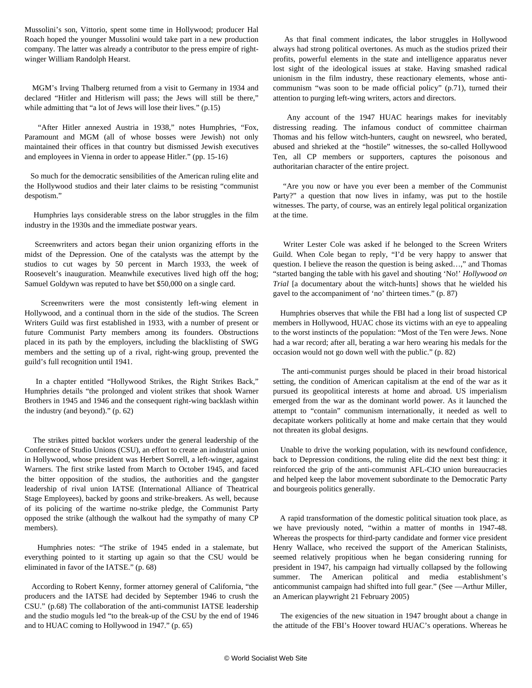Mussolini's son, Vittorio, spent some time in Hollywood; producer Hal Roach hoped the younger Mussolini would take part in a new production company. The latter was already a contributor to the press empire of rightwinger William Randolph Hearst.

 MGM's Irving Thalberg returned from a visit to Germany in 1934 and declared "Hitler and Hitlerism will pass; the Jews will still be there," while admitting that "a lot of Jews will lose their lives." (p.15)

 "After Hitler annexed Austria in 1938," notes Humphries, "Fox, Paramount and MGM (all of whose bosses were Jewish) not only maintained their offices in that country but dismissed Jewish executives and employees in Vienna in order to appease Hitler." (pp. 15-16)

 So much for the democratic sensibilities of the American ruling elite and the Hollywood studios and their later claims to be resisting "communist despotism."

 Humphries lays considerable stress on the labor struggles in the film industry in the 1930s and the immediate postwar years.

 Screenwriters and actors began their union organizing efforts in the midst of the Depression. One of the catalysts was the attempt by the studios to cut wages by 50 percent in March 1933, the week of Roosevelt's inauguration. Meanwhile executives lived high off the hog; Samuel Goldywn was reputed to have bet \$50,000 on a single card.

 Screenwriters were the most consistently left-wing element in Hollywood, and a continual thorn in the side of the studios. The Screen Writers Guild was first established in 1933, with a number of present or future Communist Party members among its founders. Obstructions placed in its path by the employers, including the blacklisting of SWG members and the setting up of a rival, right-wing group, prevented the guild's full recognition until 1941.

 In a chapter entitled "Hollywood Strikes, the Right Strikes Back," Humphries details "the prolonged and violent strikes that shook Warner Brothers in 1945 and 1946 and the consequent right-wing backlash within the industry (and beyond)." (p. 62)

 The strikes pitted backlot workers under the general leadership of the Conference of Studio Unions (CSU), an effort to create an industrial union in Hollywood, whose president was Herbert Sorrell, a left-winger, against Warners. The first strike lasted from March to October 1945, and faced the bitter opposition of the studios, the authorities and the gangster leadership of rival union IATSE (International Alliance of Theatrical Stage Employees), backed by goons and strike-breakers. As well, because of its policing of the wartime no-strike pledge, the Communist Party opposed the strike (although the walkout had the sympathy of many CP members).

 Humphries notes: "The strike of 1945 ended in a stalemate, but everything pointed to it starting up again so that the CSU would be eliminated in favor of the IATSE." (p. 68)

 According to Robert Kenny, former attorney general of California, "the producers and the IATSE had decided by September 1946 to crush the CSU." (p.68) The collaboration of the anti-communist IATSE leadership and the studio moguls led "to the break-up of the CSU by the end of 1946 and to HUAC coming to Hollywood in 1947." (p. 65)

 As that final comment indicates, the labor struggles in Hollywood always had strong political overtones. As much as the studios prized their profits, powerful elements in the state and intelligence apparatus never lost sight of the ideological issues at stake. Having smashed radical unionism in the film industry, these reactionary elements, whose anticommunism "was soon to be made official policy" (p.71), turned their attention to purging left-wing writers, actors and directors.

 Any account of the 1947 HUAC hearings makes for inevitably distressing reading. The infamous conduct of committee chairman Thomas and his fellow witch-hunters, caught on newsreel, who berated, abused and shrieked at the "hostile" witnesses, the so-called Hollywood Ten, all CP members or supporters, captures the poisonous and authoritarian character of the entire project.

 "Are you now or have you ever been a member of the Communist Party?" a question that now lives in infamy, was put to the hostile witnesses. The party, of course, was an entirely legal political organization at the time.

 Writer Lester Cole was asked if he belonged to the Screen Writers Guild. When Cole began to reply, "I'd be very happy to answer that question. I believe the reason the question is being asked…," and Thomas "started banging the table with his gavel and shouting 'No!' *Hollywood on Trial* [a documentary about the witch-hunts] shows that he wielded his gavel to the accompaniment of 'no' thirteen times." (p. 87)

 Humphries observes that while the FBI had a long list of suspected CP members in Hollywood, HUAC chose its victims with an eye to appealing to the worst instincts of the population: "Most of the Ten were Jews. None had a war record; after all, berating a war hero wearing his medals for the occasion would not go down well with the public." (p. 82)

 The anti-communist purges should be placed in their broad historical setting, the condition of American capitalism at the end of the war as it pursued its geopolitical interests at home and abroad. US imperialism emerged from the war as the dominant world power. As it launched the attempt to "contain" communism internationally, it needed as well to decapitate workers politically at home and make certain that they would not threaten its global designs.

 Unable to drive the working population, with its newfound confidence, back to Depression conditions, the ruling elite did the next best thing: it reinforced the grip of the anti-communist AFL-CIO union bureaucracies and helped keep the labor movement subordinate to the Democratic Party and bourgeois politics generally.

 A rapid transformation of the domestic political situation took place, as we have previously noted, "within a matter of months in 1947-48. Whereas the prospects for third-party candidate and former vice president Henry Wallace, who received the support of the American Stalinists, seemed relatively propitious when he began considering running for president in 1947, his campaign had virtually collapsed by the following summer. The American political and media establishment's anticommunist campaign had shifted into full gear." (See —[Arthur Miller,](/en/articles/2005/feb2005/mill-f21.shtml) [an American playwright](/en/articles/2005/feb2005/mill-f21.shtml) 21 February 2005)

 The exigencies of the new situation in 1947 brought about a change in the attitude of the FBI's Hoover toward HUAC's operations. Whereas he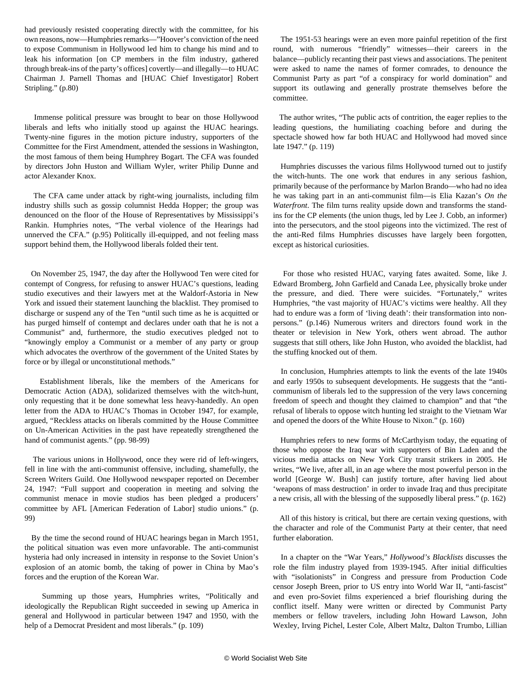had previously resisted cooperating directly with the committee, for his own reasons, now—Humphries remarks—"Hoover's conviction of the need to expose Communism in Hollywood led him to change his mind and to leak his information [on CP members in the film industry, gathered through break-ins of the party's offices] covertly—and illegally—to HUAC Chairman J. Parnell Thomas and [HUAC Chief Investigator] Robert Stripling." (p.80)

 Immense political pressure was brought to bear on those Hollywood liberals and lefts who initially stood up against the HUAC hearings. Twenty-nine figures in the motion picture industry, supporters of the Committee for the First Amendment, attended the sessions in Washington, the most famous of them being Humphrey Bogart. The CFA was founded by directors John Huston and William Wyler, writer Philip Dunne and actor Alexander Knox.

 The CFA came under attack by right-wing journalists, including film industry shills such as gossip columnist Hedda Hopper; the group was denounced on the floor of the House of Representatives by Mississippi's Rankin. Humphries notes, "The verbal violence of the Hearings had unnerved the CFA." (p.95) Politically ill-equipped, and not feeling mass support behind them, the Hollywood liberals folded their tent.

 On November 25, 1947, the day after the Hollywood Ten were cited for contempt of Congress, for refusing to answer HUAC's questions, leading studio executives and their lawyers met at the Waldorf-Astoria in New York and issued their statement launching the blacklist. They promised to discharge or suspend any of the Ten "until such time as he is acquitted or has purged himself of contempt and declares under oath that he is not a Communist" and, furthermore, the studio executives pledged not to "knowingly employ a Communist or a member of any party or group which advocates the overthrow of the government of the United States by force or by illegal or unconstitutional methods."

 Establishment liberals, like the members of the Americans for Democratic Action (ADA), solidarized themselves with the witch-hunt, only requesting that it be done somewhat less heavy-handedly. An open letter from the ADA to HUAC's Thomas in October 1947, for example, argued, "Reckless attacks on liberals committed by the House Committee on Un-American Activities in the past have repeatedly strengthened the hand of communist agents." (pp. 98-99)

 The various unions in Hollywood, once they were rid of left-wingers, fell in line with the anti-communist offensive, including, shamefully, the Screen Writers Guild. One Hollywood newspaper reported on December 24, 1947: "Full support and cooperation in meeting and solving the communist menace in movie studios has been pledged a producers' committee by AFL [American Federation of Labor] studio unions." (p. 99)

 By the time the second round of HUAC hearings began in March 1951, the political situation was even more unfavorable. The anti-communist hysteria had only increased in intensity in response to the Soviet Union's explosion of an atomic bomb, the taking of power in China by Mao's forces and the eruption of the Korean War.

 Summing up those years, Humphries writes, "Politically and ideologically the Republican Right succeeded in sewing up America in general and Hollywood in particular between 1947 and 1950, with the help of a Democrat President and most liberals." (p. 109)

 The 1951-53 hearings were an even more painful repetition of the first round, with numerous "friendly" witnesses—their careers in the balance—publicly recanting their past views and associations. The penitent were asked to name the names of former comrades, to denounce the Communist Party as part "of a conspiracy for world domination" and support its outlawing and generally prostrate themselves before the committee.

 The author writes, "The public acts of contrition, the eager replies to the leading questions, the humiliating coaching before and during the spectacle showed how far both HUAC and Hollywood had moved since late 1947." (p. 119)

 Humphries discusses the various films Hollywood turned out to justify the witch-hunts. The one work that endures in any serious fashion, primarily because of the performance by Marlon Brando—who had no idea he was taking part in an anti-communist film—is Elia Kazan's *On the Waterfront*. The film turns reality upside down and transforms the standins for the CP elements (the union thugs, led by Lee J. Cobb, an informer) into the persecutors, and the stool pigeons into the victimized. The rest of the anti-Red films Humphries discusses have largely been forgotten, except as historical curiosities.

 For those who resisted HUAC, varying fates awaited. Some, like J. Edward Bromberg, John Garfield and Canada Lee, physically broke under the pressure, and died. There were suicides. "Fortunately," writes Humphries, "the vast majority of HUAC's victims were healthy. All they had to endure was a form of 'living death': their transformation into nonpersons." (p.146) Numerous writers and directors found work in the theater or television in New York, others went abroad. The author suggests that still others, like John Huston, who avoided the blacklist, had the stuffing knocked out of them.

 In conclusion, Humphries attempts to link the events of the late 1940s and early 1950s to subsequent developments. He suggests that the "anticommunism of liberals led to the suppression of the very laws concerning freedom of speech and thought they claimed to champion" and that "the refusal of liberals to oppose witch hunting led straight to the Vietnam War and opened the doors of the White House to Nixon." (p. 160)

 Humphries refers to new forms of McCarthyism today, the equating of those who oppose the Iraq war with supporters of Bin Laden and the vicious media attacks on New York City transit strikers in 2005. He writes, "We live, after all, in an age where the most powerful person in the world [George W. Bush] can justify torture, after having lied about 'weapons of mass destruction' in order to invade Iraq and thus precipitate a new crisis, all with the blessing of the supposedly liberal press." (p. 162)

 All of this history is critical, but there are certain vexing questions, with the character and role of the Communist Party at their center, that need further elaboration.

 In a chapter on the "War Years," *Hollywood's Blacklists* discusses the role the film industry played from 1939-1945. After initial difficulties with "isolationists" in Congress and pressure from Production Code censor Joseph Breen, prior to US entry into World War II, "anti-fascist" and even pro-Soviet films experienced a brief flourishing during the conflict itself. Many were written or directed by Communist Party members or fellow travelers, including John Howard Lawson, John Wexley, Irving Pichel, Lester Cole, Albert Maltz, Dalton Trumbo, Lillian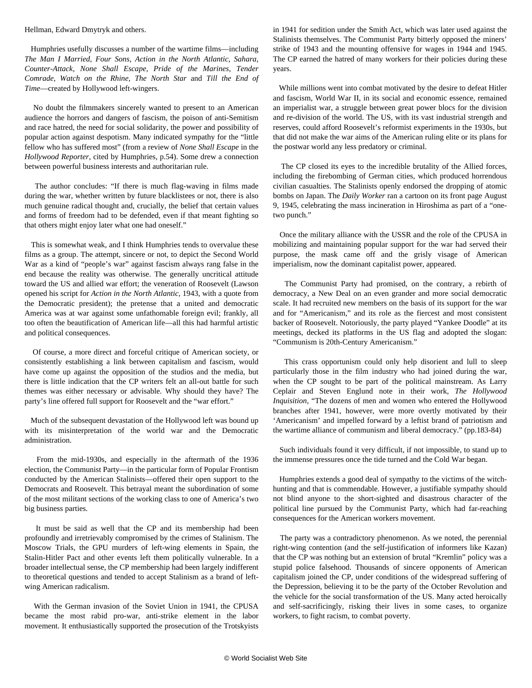Hellman, Edward Dmytryk and others.

 Humphries usefully discusses a number of the wartime films—including *The Man I Married, Four Sons, Action in the North Atlantic, Sahara, Counter-Attack, None Shall Escape, Pride of the Marines, Tender Comrade, Watch on the Rhine, The North Star* and *Till the End of Time*—created by Hollywood left-wingers.

 No doubt the filmmakers sincerely wanted to present to an American audience the horrors and dangers of fascism, the poison of anti-Semitism and race hatred, the need for social solidarity, the power and possibility of popular action against despotism. Many indicated sympathy for the "little fellow who has suffered most" (from a review of *None Shall Escape* in the *Hollywood Reporter*, cited by Humphries, p.54). Some drew a connection between powerful business interests and authoritarian rule.

 The author concludes: "If there is much flag-waving in films made during the war, whether written by future blacklistees or not, there is also much genuine radical thought and, crucially, the belief that certain values and forms of freedom had to be defended, even if that meant fighting so that others might enjoy later what one had oneself."

 This is somewhat weak, and I think Humphries tends to overvalue these films as a group. The attempt, sincere or not, to depict the Second World War as a kind of "people's war" against fascism always rang false in the end because the reality was otherwise. The generally uncritical attitude toward the US and allied war effort; the veneration of Roosevelt (Lawson opened his script for *Action in the North Atlantic*, 1943, with a quote from the Democratic president); the pretense that a united and democratic America was at war against some unfathomable foreign evil; frankly, all too often the beautification of American life—all this had harmful artistic and political consequences.

 Of course, a more direct and forceful critique of American society, or consistently establishing a link between capitalism and fascism, would have come up against the opposition of the studios and the media, but there is little indication that the CP writers felt an all-out battle for such themes was either necessary or advisable. Why should they have? The party's line offered full support for Roosevelt and the "war effort."

 Much of the subsequent devastation of the Hollywood left was bound up with its misinterpretation of the world war and the Democratic administration.

 From the mid-1930s, and especially in the aftermath of the 1936 election, the Communist Party—in the particular form of Popular Frontism conducted by the American Stalinists—offered their open support to the Democrats and Roosevelt. This betrayal meant the subordination of some of the most militant sections of the working class to one of America's two big business parties.

 It must be said as well that the CP and its membership had been profoundly and irretrievably compromised by the crimes of Stalinism. The Moscow Trials, the GPU murders of left-wing elements in Spain, the Stalin-Hitler Pact and other events left them politically vulnerable. In a broader intellectual sense, the CP membership had been largely indifferent to theoretical questions and tended to accept Stalinism as a brand of leftwing American radicalism.

 With the German invasion of the Soviet Union in 1941, the CPUSA became the most rabid pro-war, anti-strike element in the labor movement. It enthusiastically supported the prosecution of the Trotskyists

in 1941 for sedition under the Smith Act, which was later used against the Stalinists themselves. The Communist Party bitterly opposed the miners' strike of 1943 and the mounting offensive for wages in 1944 and 1945. The CP earned the hatred of many workers for their policies during these years.

 While millions went into combat motivated by the desire to defeat Hitler and fascism, World War II, in its social and economic essence, remained an imperialist war, a struggle between great power blocs for the division and re-division of the world. The US, with its vast industrial strength and reserves, could afford Roosevelt's reformist experiments in the 1930s, but that did not make the war aims of the American ruling elite or its plans for the postwar world any less predatory or criminal.

 The CP closed its eyes to the incredible brutality of the Allied forces, including the firebombing of German cities, which produced horrendous civilian casualties. The Stalinists openly endorsed the dropping of atomic bombs on Japan. The *Daily Worker* ran a cartoon on its front page August 9, 1945, celebrating the mass incineration in Hiroshima as part of a "onetwo punch."

 Once the military alliance with the USSR and the role of the CPUSA in mobilizing and maintaining popular support for the war had served their purpose, the mask came off and the grisly visage of American imperialism, now the dominant capitalist power, appeared.

 The Communist Party had promised, on the contrary, a rebirth of democracy, a New Deal on an even grander and more social democratic scale. It had recruited new members on the basis of its support for the war and for "Americanism," and its role as the fiercest and most consistent backer of Roosevelt. Notoriously, the party played "Yankee Doodle" at its meetings, decked its platforms in the US flag and adopted the slogan: "Communism is 20th-Century Americanism."

 This crass opportunism could only help disorient and lull to sleep particularly those in the film industry who had joined during the war, when the CP sought to be part of the political mainstream. As Larry Ceplair and Steven Englund note in their work, *The Hollywood Inquisition*, "The dozens of men and women who entered the Hollywood branches after 1941, however, were more overtly motivated by their 'Americanism' and impelled forward by a leftist brand of patriotism and the wartime alliance of communism and liberal democracy." (pp.183-84)

 Such individuals found it very difficult, if not impossible, to stand up to the immense pressures once the tide turned and the Cold War began.

 Humphries extends a good deal of sympathy to the victims of the witchhunting and that is commendable. However, a justifiable sympathy should not blind anyone to the short-sighted and disastrous character of the political line pursued by the Communist Party, which had far-reaching consequences for the American workers movement.

 The party was a contradictory phenomenon. As we noted, the perennial right-wing contention (and the self-justification of informers like Kazan) that the CP was nothing but an extension of brutal "Kremlin" policy was a stupid police falsehood. Thousands of sincere opponents of American capitalism joined the CP, under conditions of the widespread suffering of the Depression, believing it to be the party of the October Revolution and the vehicle for the social transformation of the US. Many acted heroically and self-sacrificingly, risking their lives in some cases, to organize workers, to fight racism, to combat poverty.